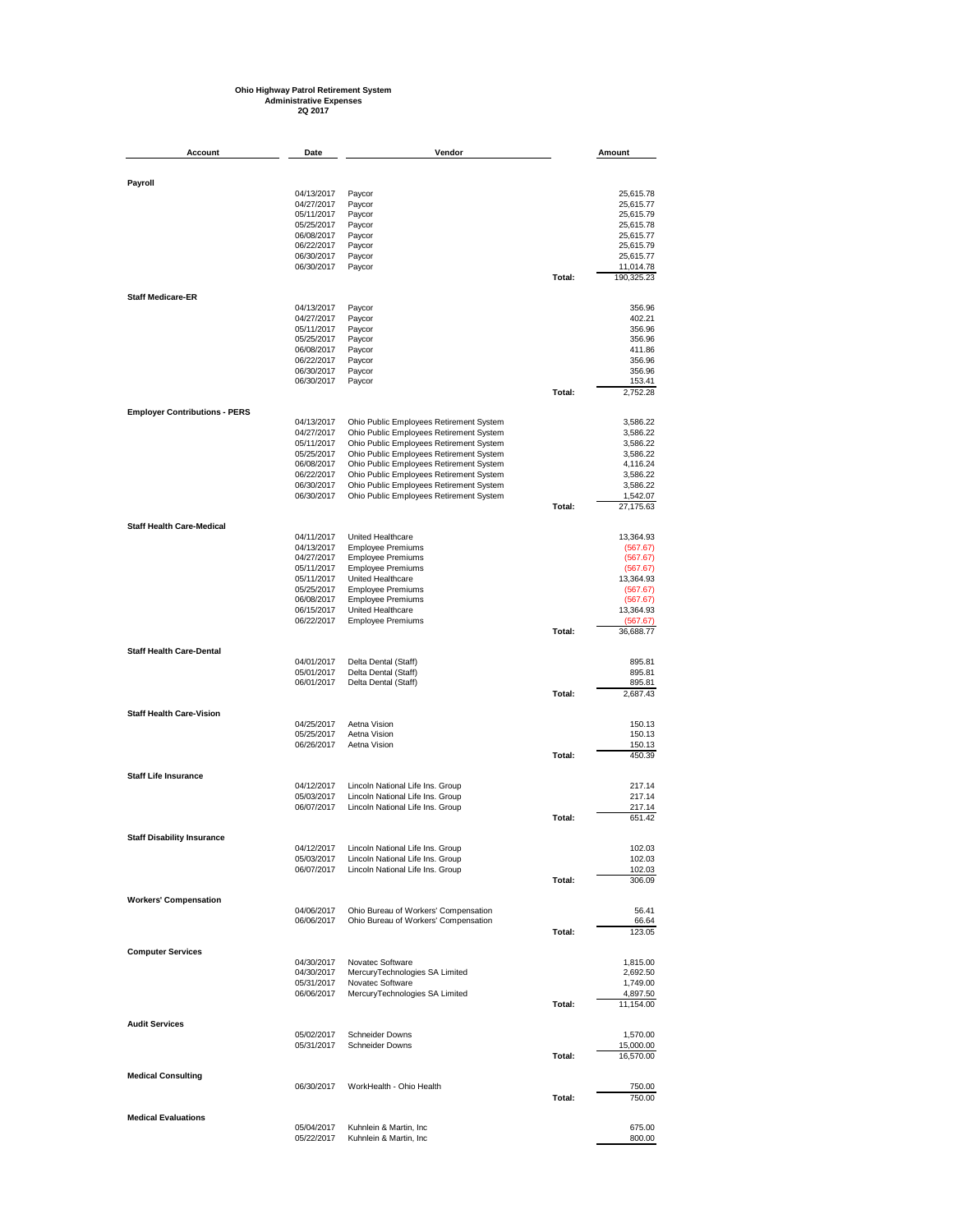## **Ohio Highway Patrol Retirement System Administrative Expenses 2Q 2017**

| Account                              | Date                     | Vendor                                               |        | Amount               |
|--------------------------------------|--------------------------|------------------------------------------------------|--------|----------------------|
|                                      |                          |                                                      |        |                      |
| Payroll                              |                          |                                                      |        |                      |
|                                      | 04/13/2017               | Paycor                                               |        | 25,615.78            |
|                                      | 04/27/2017               | Paycor                                               |        | 25,615.77            |
|                                      | 05/11/2017               | Paycor                                               |        | 25,615.79            |
|                                      | 05/25/2017               | Paycor                                               |        | 25,615.78            |
|                                      | 06/08/2017               | Paycor                                               |        | 25,615.77            |
|                                      | 06/22/2017               | Paycor                                               |        | 25,615.79            |
|                                      | 06/30/2017               | Paycor                                               |        | 25,615.77            |
|                                      | 06/30/2017               | Paycor                                               |        | 11,014.78            |
|                                      |                          |                                                      | Total: | 190,325.23           |
| <b>Staff Medicare-ER</b>             |                          |                                                      |        |                      |
|                                      | 04/13/2017               | Paycor                                               |        | 356.96               |
|                                      | 04/27/2017               | Paycor                                               |        | 402.21               |
|                                      | 05/11/2017               | Paycor                                               |        | 356.96               |
|                                      | 05/25/2017               | Paycor<br>Paycor                                     |        | 356.96               |
|                                      | 06/08/2017<br>06/22/2017 | Paycor                                               |        | 411.86<br>356.96     |
|                                      | 06/30/2017               | Paycor                                               |        | 356.96               |
|                                      | 06/30/2017               | Paycor                                               |        | 153.41               |
|                                      |                          |                                                      | Total: | 2,752.28             |
| <b>Employer Contributions - PERS</b> |                          |                                                      |        |                      |
|                                      | 04/13/2017               | Ohio Public Employees Retirement System              |        | 3,586.22             |
|                                      | 04/27/2017               | Ohio Public Employees Retirement System              |        | 3,586.22             |
|                                      | 05/11/2017               | Ohio Public Employees Retirement System              |        | 3,586.22             |
|                                      | 05/25/2017               | Ohio Public Employees Retirement System              |        | 3,586.22             |
|                                      | 06/08/2017               | Ohio Public Employees Retirement System              |        | 4,116.24             |
|                                      | 06/22/2017               | Ohio Public Employees Retirement System              |        | 3,586.22             |
|                                      | 06/30/2017               | Ohio Public Employees Retirement System              |        | 3,586.22             |
|                                      | 06/30/2017               | Ohio Public Employees Retirement System              |        | 1,542.07             |
|                                      |                          |                                                      | Total: | 27,175.63            |
| <b>Staff Health Care-Medical</b>     |                          |                                                      |        |                      |
|                                      | 04/11/2017               | United Healthcare                                    |        | 13,364.93            |
|                                      | 04/13/2017               | <b>Employee Premiums</b>                             |        | (567.67)             |
|                                      | 04/27/2017<br>05/11/2017 | <b>Employee Premiums</b><br><b>Employee Premiums</b> |        | (567.67)<br>(567.67) |
|                                      | 05/11/2017               | United Healthcare                                    |        | 13,364.93            |
|                                      | 05/25/2017               | <b>Employee Premiums</b>                             |        | (567.67)             |
|                                      | 06/08/2017               | <b>Employee Premiums</b>                             |        | (567.67)             |
|                                      | 06/15/2017               | United Healthcare                                    |        | 13,364.93            |
|                                      | 06/22/2017               | <b>Employee Premiums</b>                             |        | (567.67)             |
|                                      |                          |                                                      | Total: | 36,688.77            |
| <b>Staff Health Care-Dental</b>      |                          |                                                      |        |                      |
|                                      | 04/01/2017               | Delta Dental (Staff)                                 |        | 895.81               |
|                                      | 05/01/2017               | Delta Dental (Staff)                                 |        | 895.81               |
|                                      | 06/01/2017               | Delta Dental (Staff)                                 |        | 895.81               |
|                                      |                          |                                                      | Total: | 2,687.43             |
| <b>Staff Health Care-Vision</b>      |                          |                                                      |        |                      |
|                                      | 04/25/2017               | Aetna Vision<br>Aetna Vision                         |        | 150.13               |
|                                      | 05/25/2017               | Aetna Vision                                         |        | 150.13<br>150.13     |
|                                      | 06/26/2017               |                                                      | Total: | 450.39               |
|                                      |                          |                                                      |        |                      |
| <b>Staff Life Insurance</b>          | 04/12/2017               | Lincoln National Life Ins. Group                     |        | 217.14               |
|                                      | 05/03/2017               | Lincoln National Life Ins. Group                     |        | 217.14               |
|                                      | 06/07/2017               | Lincoln National Life Ins. Group                     |        | 217.14               |
|                                      |                          |                                                      | Total: | 651.42               |
| <b>Staff Disability Insurance</b>    |                          |                                                      |        |                      |
|                                      | 04/12/2017               | Lincoln National Life Ins. Group                     |        | 102.03               |
|                                      | 05/03/2017               | Lincoln National Life Ins. Group                     |        | 102.03               |
|                                      | 06/07/2017               | Lincoln National Life Ins. Group                     |        | 102.03               |
|                                      |                          |                                                      | Total: | 306.09               |
| <b>Workers' Compensation</b>         |                          |                                                      |        |                      |
|                                      | 04/06/2017               | Ohio Bureau of Workers' Compensation                 |        | 56.41                |
|                                      | 06/06/2017               | Ohio Bureau of Workers' Compensation                 | Total: | 66.64<br>123.05      |
|                                      |                          |                                                      |        |                      |
| <b>Computer Services</b>             |                          |                                                      |        |                      |
|                                      | 04/30/2017               | Novatec Software                                     |        | 1,815.00             |
|                                      | 04/30/2017               | MercuryTechnologies SA Limited                       |        | 2,692.50             |
|                                      | 05/31/2017<br>06/06/2017 | Novatec Software<br>MercuryTechnologies SA Limited   |        | 1,749.00<br>4,897.50 |
|                                      |                          |                                                      | Total: | 11,154.00            |
| <b>Audit Services</b>                |                          |                                                      |        |                      |
|                                      | 05/02/2017               | <b>Schneider Downs</b>                               |        | 1,570.00             |
|                                      | 05/31/2017               | <b>Schneider Downs</b>                               |        | 15,000.00            |
|                                      |                          |                                                      | Total: | 16,570.00            |
|                                      |                          |                                                      |        |                      |
| <b>Medical Consulting</b>            | 06/30/2017               | WorkHealth - Ohio Health                             |        | 750.00               |
|                                      |                          |                                                      | Total: | 750.00               |
|                                      |                          |                                                      |        |                      |
| <b>Medical Evaluations</b>           | 05/04/2017               | Kuhnlein & Martin, Inc                               |        | 675.00               |
|                                      | 05/22/2017               | Kuhnlein & Martin, Inc                               |        | 800.00               |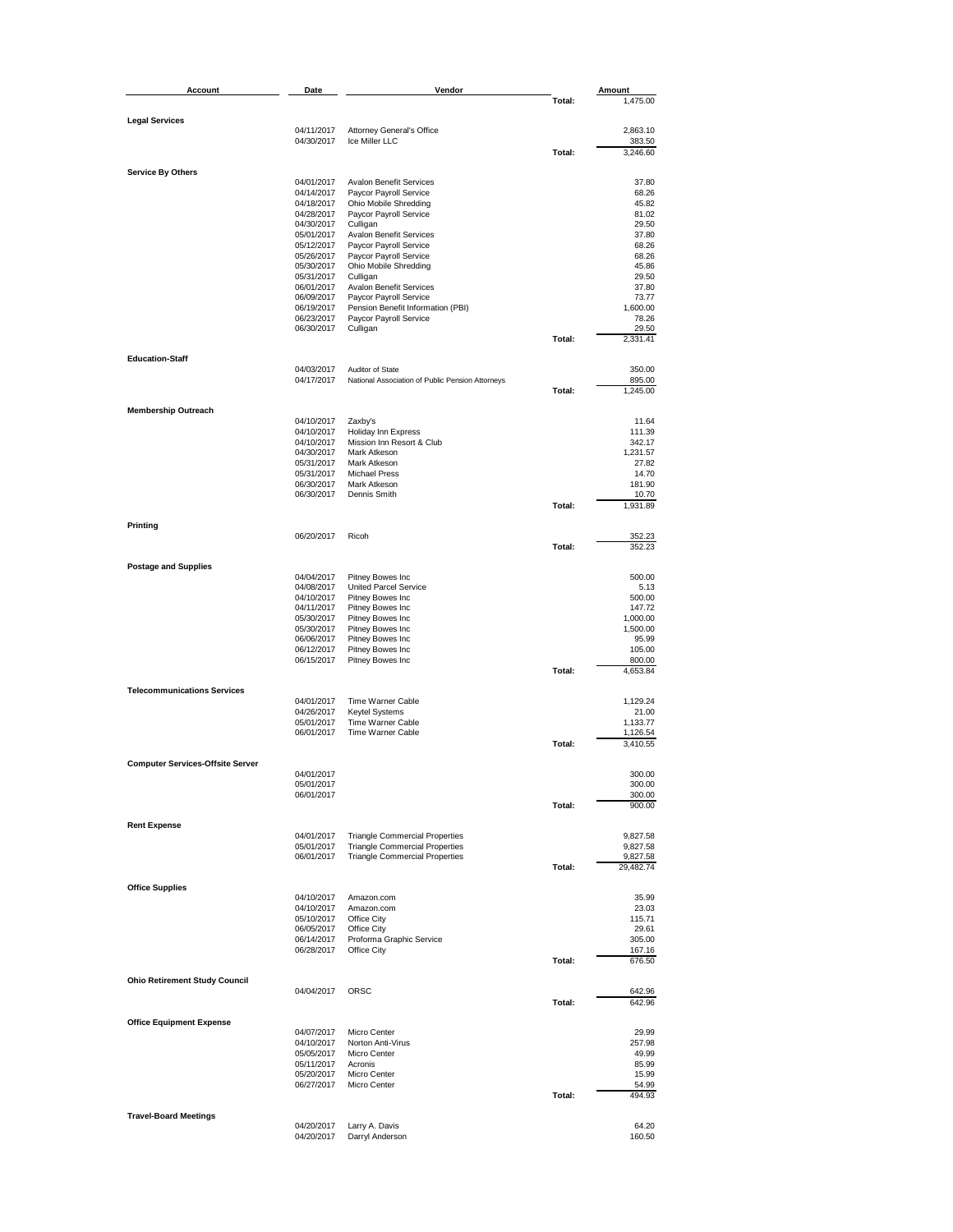| Account                                 | Date                     | Vendor                                                                         |        | Amount               |
|-----------------------------------------|--------------------------|--------------------------------------------------------------------------------|--------|----------------------|
|                                         |                          |                                                                                | Total: | 1,475.00             |
|                                         |                          |                                                                                |        |                      |
| <b>Legal Services</b>                   | 04/11/2017               | <b>Attorney General's Office</b>                                               |        | 2,863.10             |
|                                         | 04/30/2017               | Ice Miller LLC                                                                 |        | 383.50               |
|                                         |                          |                                                                                | Total: | 3,246.60             |
| <b>Service By Others</b>                |                          |                                                                                |        |                      |
|                                         | 04/01/2017               | <b>Avalon Benefit Services</b>                                                 |        | 37.80                |
|                                         | 04/14/2017               | Paycor Payroll Service                                                         |        | 68.26                |
|                                         | 04/18/2017               | Ohio Mobile Shredding                                                          |        | 45.82                |
|                                         | 04/28/2017<br>04/30/2017 | Paycor Payroll Service<br>Culligan                                             |        | 81.02<br>29.50       |
|                                         | 05/01/2017               | <b>Avalon Benefit Services</b>                                                 |        | 37.80                |
|                                         | 05/12/2017               | Paycor Payroll Service                                                         |        | 68.26                |
|                                         | 05/26/2017               | Paycor Payroll Service                                                         |        | 68.26                |
|                                         | 05/30/2017<br>05/31/2017 | Ohio Mobile Shredding                                                          |        | 45.86<br>29.50       |
|                                         | 06/01/2017               | Culligan<br><b>Avalon Benefit Services</b>                                     |        | 37.80                |
|                                         | 06/09/2017               | Paycor Payroll Service                                                         |        | 73.77                |
|                                         | 06/19/2017               | Pension Benefit Information (PBI)                                              |        | 1,600.00             |
|                                         | 06/23/2017               | Paycor Payroll Service                                                         |        | 78.26                |
|                                         | 06/30/2017               | Culligan                                                                       | Total: | 29.50<br>2,331.41    |
|                                         |                          |                                                                                |        |                      |
| <b>Education-Staff</b>                  | 04/03/2017               | Auditor of State                                                               |        | 350.00               |
|                                         | 04/17/2017               | National Association of Public Pension Attorneys                               |        | 895.00               |
|                                         |                          |                                                                                | Total: | 1,245.00             |
|                                         |                          |                                                                                |        |                      |
| <b>Membership Outreach</b>              | 04/10/2017               | Zaxby's                                                                        |        | 11.64                |
|                                         | 04/10/2017               | <b>Holiday Inn Express</b>                                                     |        | 111.39               |
|                                         | 04/10/2017               | Mission Inn Resort & Club                                                      |        | 342.17               |
|                                         | 04/30/2017               | Mark Atkeson                                                                   |        | 1,231.57             |
|                                         | 05/31/2017               | Mark Atkeson<br><b>Michael Press</b>                                           |        | 27.82<br>14.70       |
|                                         | 05/31/2017<br>06/30/2017 | Mark Atkeson                                                                   |        | 181.90               |
|                                         | 06/30/2017               | Dennis Smith                                                                   |        | 10.70                |
|                                         |                          |                                                                                | Total: | 1,931.89             |
| Printing                                |                          |                                                                                |        |                      |
|                                         | 06/20/2017               | Ricoh                                                                          |        | 352.23               |
|                                         |                          |                                                                                | Total: | 352.23               |
| <b>Postage and Supplies</b>             |                          |                                                                                |        |                      |
|                                         | 04/04/2017               | Pitney Bowes Inc                                                               |        | 500.00               |
|                                         | 04/08/2017               | United Parcel Service                                                          |        | 5.13                 |
|                                         | 04/10/2017               | Pitney Bowes Inc                                                               |        | 500.00               |
|                                         | 04/11/2017               | Pitney Bowes Inc                                                               |        | 147.72               |
|                                         | 05/30/2017<br>05/30/2017 | Pitney Bowes Inc<br>Pitney Bowes Inc                                           |        | 1,000.00<br>1,500.00 |
|                                         | 06/06/2017               | Pitney Bowes Inc                                                               |        | 95.99                |
|                                         | 06/12/2017               | Pitney Bowes Inc                                                               |        | 105.00               |
|                                         | 06/15/2017               | Pitney Bowes Inc                                                               |        | 800.00               |
|                                         |                          |                                                                                | Total: | 4,653.84             |
| <b>Telecommunications Services</b>      |                          |                                                                                |        |                      |
|                                         | 04/01/2017               | Time Warner Cable<br><b>Keytel Systems</b>                                     |        | 1,129.24             |
|                                         | 04/26/2017<br>05/01/2017 | Time Warner Cable                                                              |        | 21.00<br>1,133.77    |
|                                         | 06/01/2017               | Time Warner Cable                                                              |        | 1,126.54             |
|                                         |                          |                                                                                | Total: | 3,410.55             |
| <b>Computer Services-Offsite Server</b> |                          |                                                                                |        |                      |
|                                         | 04/01/2017               |                                                                                |        | 300.00               |
|                                         | 05/01/2017               |                                                                                |        | 300.00               |
|                                         | 06/01/2017               |                                                                                |        | 300.00               |
|                                         |                          |                                                                                | Total: | 900.00               |
| <b>Rent Expense</b>                     |                          |                                                                                |        |                      |
|                                         | 04/01/2017               | <b>Triangle Commercial Properties</b>                                          |        | 9,827.58             |
|                                         | 05/01/2017<br>06/01/2017 | <b>Triangle Commercial Properties</b><br><b>Triangle Commercial Properties</b> |        | 9,827.58<br>9,827.58 |
|                                         |                          |                                                                                | Total: | 29,482.74            |
|                                         |                          |                                                                                |        |                      |
| <b>Office Supplies</b>                  | 04/10/2017               | Amazon.com                                                                     |        | 35.99                |
|                                         | 04/10/2017               | Amazon.com                                                                     |        | 23.03                |
|                                         | 05/10/2017               | Office City                                                                    |        | 115.71               |
|                                         | 06/05/2017               | Office City                                                                    |        | 29.61                |
|                                         | 06/14/2017               | Proforma Graphic Service                                                       |        | 305.00               |
|                                         | 06/28/2017               | Office City                                                                    | Total: | 167.16<br>676.50     |
|                                         |                          |                                                                                |        |                      |
| <b>Ohio Retirement Study Council</b>    |                          |                                                                                |        |                      |
|                                         | 04/04/2017               | ORSC                                                                           | Total: | 642.96<br>642.96     |
|                                         |                          |                                                                                |        |                      |
| <b>Office Equipment Expense</b>         |                          |                                                                                |        |                      |
|                                         | 04/07/2017<br>04/10/2017 | Micro Center<br>Norton Anti-Virus                                              |        | 29.99<br>257.98      |
|                                         | 05/05/2017               | Micro Center                                                                   |        | 49.99                |
|                                         | 05/11/2017               | Acronis                                                                        |        | 85.99                |
|                                         | 05/20/2017               | Micro Center                                                                   |        | 15.99                |
|                                         | 06/27/2017               | Micro Center                                                                   | Total: | 54.99<br>494.93      |
|                                         |                          |                                                                                |        |                      |
| <b>Travel-Board Meetings</b>            |                          |                                                                                |        |                      |
|                                         | 04/20/2017<br>04/20/2017 | Larry A. Davis<br>Darryl Anderson                                              |        | 64.20<br>160.50      |